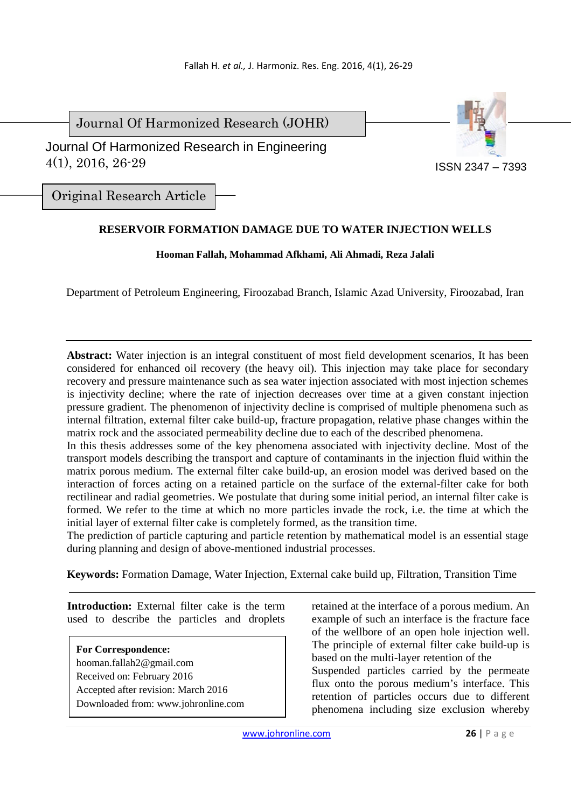Journal Of Harmonized Research (JOHR)

ISSN 2347 – 7393

 Journal Of Harmonized Research in Engineering 4(1), 2016, 26-29

Original Research Article

# **RESERVOIR FORMATION DAMAGE DUE TO WATER INJECTION WELLS**

## **Hooman Fallah, Mohammad Afkhami, Ali Ahmadi, Reza Jalali**

Department of Petroleum Engineering, Firoozabad Branch, Islamic Azad University, Firoozabad, Iran

**Abstract:** Water injection is an integral constituent of most field development scenarios, It has been considered for enhanced oil recovery (the heavy oil). This injection may take place for secondary recovery and pressure maintenance such as sea water injection associated with most injection schemes is injectivity decline; where the rate of injection decreases over time at a given constant injection pressure gradient. The phenomenon of injectivity decline is comprised of multiple phenomena such as internal filtration, external filter cake build-up, fracture propagation, relative phase changes within the matrix rock and the associated permeability decline due to each of the described phenomena.

In this thesis addresses some of the key phenomena associated with injectivity decline. Most of the transport models describing the transport and capture of contaminants in the injection fluid within the matrix porous medium. The external filter cake build-up, an erosion model was derived based on the interaction of forces acting on a retained particle on the surface of the external-filter cake for both rectilinear and radial geometries. We postulate that during some initial period, an internal filter cake is formed. We refer to the time at which no more particles invade the rock, i.e. the time at which the initial layer of external filter cake is completely formed, as the transition time.

The prediction of particle capturing and particle retention by mathematical model is an essential stage during planning and design of above-mentioned industrial processes.

**Keywords:** Formation Damage, Water Injection, External cake build up, Filtration, Transition Time

**Introduction:** External filter cake is the term used to describe the particles and droplets

**For Correspondence:**  hooman.fallah2@gmail.com Received on: February 2016 Accepted after revision: March 2016 Downloaded from: www.johronline.com retained at the interface of a porous medium. An example of such an interface is the fracture face of the wellbore of an open hole injection well. The principle of external filter cake build-up is based on the multi-layer retention of the Suspended particles carried by the permeate flux onto the porous medium's interface. This retention of particles occurs due to different phenomena including size exclusion whereby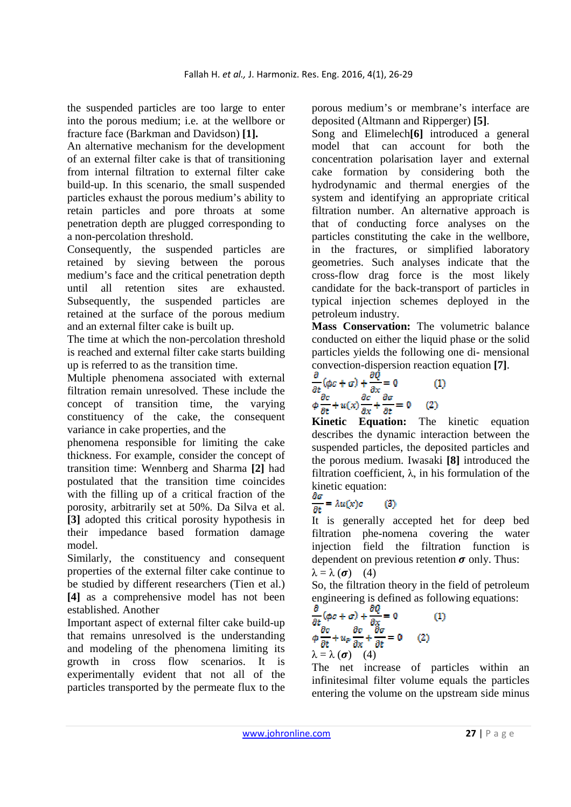the suspended particles are too large to enter into the porous medium; i.e. at the wellbore or fracture face (Barkman and Davidson) **[1].**

An alternative mechanism for the development of an external filter cake is that of transitioning from internal filtration to external filter cake build-up. In this scenario, the small suspended particles exhaust the porous medium's ability to retain particles and pore throats at some penetration depth are plugged corresponding to a non-percolation threshold.

Consequently, the suspended particles are retained by sieving between the porous medium's face and the critical penetration depth until all retention sites are exhausted. Subsequently, the suspended particles are retained at the surface of the porous medium and an external filter cake is built up.

The time at which the non-percolation threshold is reached and external filter cake starts building up is referred to as the transition time.

Multiple phenomena associated with external filtration remain unresolved. These include the concept of transition time, the varying constituency of the cake, the consequent variance in cake properties, and the

phenomena responsible for limiting the cake thickness. For example, consider the concept of transition time: Wennberg and Sharma **[2]** had postulated that the transition time coincides with the filling up of a critical fraction of the porosity, arbitrarily set at 50%. Da Silva et al. **[3]** adopted this critical porosity hypothesis in their impedance based formation damage model.

Similarly, the constituency and consequent properties of the external filter cake continue to be studied by different researchers (Tien et al.) **[4]** as a comprehensive model has not been established. Another

Important aspect of external filter cake build-up that remains unresolved is the understanding and modeling of the phenomena limiting its growth in cross flow scenarios. It is experimentally evident that not all of the particles transported by the permeate flux to the porous medium's or membrane's interface are deposited (Altmann and Ripperger) **[5]**.

Song and Elimelech**[6]** introduced a general model that can account for both the concentration polarisation layer and external cake formation by considering both the hydrodynamic and thermal energies of the system and identifying an appropriate critical filtration number. An alternative approach is that of conducting force analyses on the particles constituting the cake in the wellbore, in the fractures, or simplified laboratory geometries. Such analyses indicate that the cross-flow drag force is the most likely candidate for the back-transport of particles in typical injection schemes deployed in the petroleum industry.

**Mass Conservation:** The volumetric balance conducted on either the liquid phase or the solid particles yields the following one di- mensional convection-dispersion reaction equation **[7]**.

$$
\frac{\partial}{\partial t}(\phi c + \sigma) + \frac{\partial Q}{\partial x} = 0 \tag{1}
$$
\n
$$
\phi \frac{\partial c}{\partial t} + u(x) \frac{\partial c}{\partial x} + \frac{\partial \sigma}{\partial t} = 0 \tag{2}
$$

**Kinetic Equation:** The kinetic equation describes the dynamic interaction between the suspended particles, the deposited particles and the porous medium. Iwasaki **[8]** introduced the filtration coefficient,  $\lambda$ , in his formulation of the kinetic equation:

$$
\frac{\partial \sigma}{\partial t} = \lambda u(x)c \qquad (3)
$$

It is generally accepted het for deep bed filtration phe-nomena covering the water injection field the filtration function is dependent on previous retention  $\sigma$  only. Thus:  $\lambda = \lambda (\sigma)$  (4)

So, the filtration theory in the field of petroleum engineering is defined as following equations:

$$
\frac{\partial}{\partial t}(\phi c + \sigma) + \frac{\partial Q}{\partial x} = 0 \tag{1}
$$
\n
$$
\phi \frac{\partial c}{\partial t} + u_p \frac{\partial c}{\partial x} + \frac{\partial \sigma}{\partial t} = 0 \tag{2}
$$
\n
$$
\lambda = \lambda (\sigma) \tag{4}
$$

The net increase of particles within an infinitesimal filter volume equals the particles entering the volume on the upstream side minus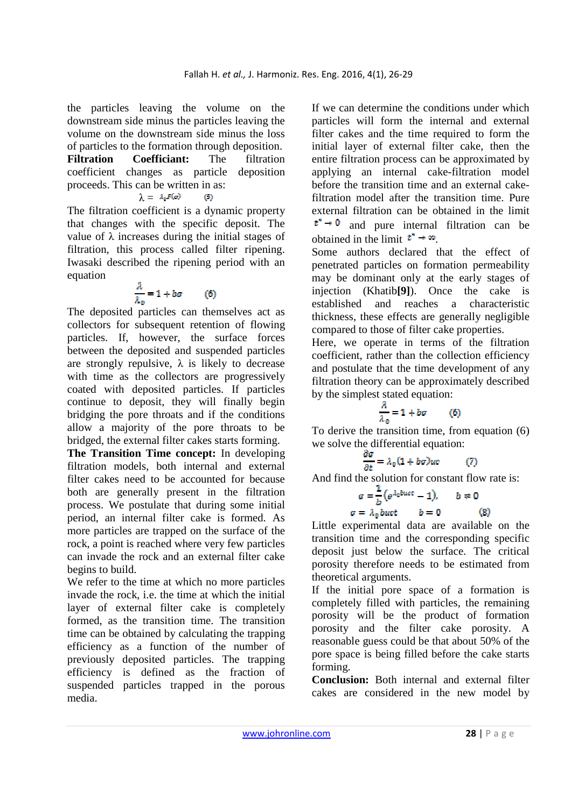the particles leaving the volume on the downstream side minus the particles leaving the volume on the downstream side minus the loss of particles to the formation through deposition. **Filtration Coefficiant:** The filtration coefficient changes as particle deposition proceeds. This can be written in as:

$$
\lambda = \lambda_0 F(a) \qquad (5)
$$

The filtration coefficient is a dynamic property that changes with the specific deposit. The value of  $\lambda$  increases during the initial stages of filtration, this process called filter ripening. Iwasaki described the ripening period with an equation

$$
\frac{\lambda}{\lambda_0} = 1 + b\sigma \qquad (6)
$$

The deposited particles can themselves act as collectors for subsequent retention of flowing particles. If, however, the surface forces between the deposited and suspended particles are strongly repulsive,  $\lambda$  is likely to decrease with time as the collectors are progressively coated with deposited particles. If particles continue to deposit, they will finally begin bridging the pore throats and if the conditions allow a majority of the pore throats to be bridged, the external filter cakes starts forming.

**The Transition Time concept:** In developing filtration models, both internal and external filter cakes need to be accounted for because both are generally present in the filtration process. We postulate that during some initial period, an internal filter cake is formed. As more particles are trapped on the surface of the rock, a point is reached where very few particles can invade the rock and an external filter cake begins to build.

We refer to the time at which no more particles invade the rock, i.e. the time at which the initial layer of external filter cake is completely formed, as the transition time. The transition time can be obtained by calculating the trapping efficiency as a function of the number of previously deposited particles. The trapping efficiency is defined as the fraction of suspended particles trapped in the porous media.

If we can determine the conditions under which particles will form the internal and external filter cakes and the time required to form the initial layer of external filter cake, then the entire filtration process can be approximated by applying an internal cake-filtration model before the transition time and an external cakefiltration model after the transition time. Pure external filtration can be obtained in the limit  $t^* \rightarrow 0$  and pure internal filtration can be obtained in the limit  $t^* \rightarrow \infty$ .

Some authors declared that the effect of penetrated particles on formation permeability may be dominant only at the early stages of injection (Khatib**[9]**). Once the cake is established and reaches a characteristic thickness, these effects are generally negligible compared to those of filter cake properties.

Here, we operate in terms of the filtration coefficient, rather than the collection efficiency and postulate that the time development of any filtration theory can be approximately described by the simplest stated equation:

$$
\frac{\lambda}{\lambda_0} = 1 + b\sigma \tag{6}
$$

To derive the transition time, from equation (6) we solve the differential equation:

$$
\frac{\partial \sigma}{\partial t} = \lambda_0 (1 + b\sigma)uc \tag{7}
$$

And find the solution for constant flow rate is:<br>  $\sigma = \frac{1}{b} (e^{\lambda_0 b u c t} - 1), \qquad b \neq 0$ <br>  $\sigma = \lambda_0 b u c t \qquad b = 0$  (8)  $\sigma = \lambda_0 buct$  $\omega$ 

Little experimental data are available on the transition time and the corresponding specific deposit just below the surface. The critical porosity therefore needs to be estimated from theoretical arguments.

If the initial pore space of a formation is completely filled with particles, the remaining porosity will be the product of formation porosity and the filter cake porosity. A reasonable guess could be that about 50% of the pore space is being filled before the cake starts forming.

**Conclusion:** Both internal and external filter cakes are considered in the new model by